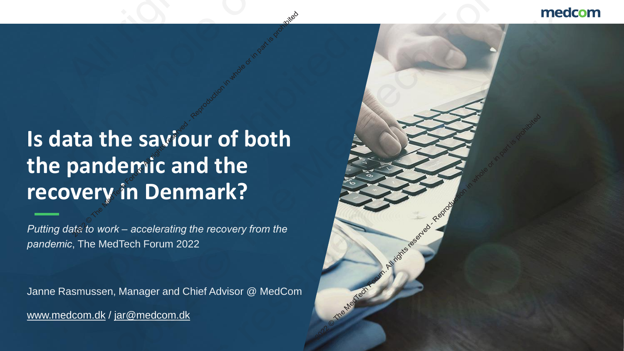# **Is data the saviour of both the pandemic and the recovery in Denmark?**<br>
<sup>2022</sup> Denmark?<br>
2022 The Media Reproduction in Denmark?<br>
2022 Futting data to work – accelerating the recovery from the **2021 Control Control Control Control Control Control Control Control Control Control Control Control Control Control Control Control Control Control Control Control Control Control Control Control Control Control Control**

*Putting data to work – accelerating the recovery from the pandemic*, The MedTech Forum 2022

Janne Rasmussen, Manager and Chief Advisor @ MedCom www.medcom.dk / [jar@medcom.dk](mailto:jar@medcom.dk)

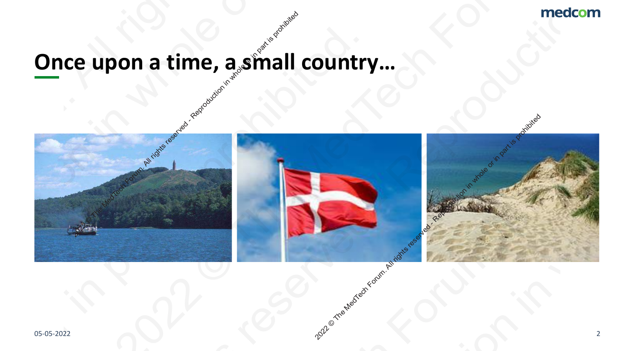## **Once upon a time, a small country...**

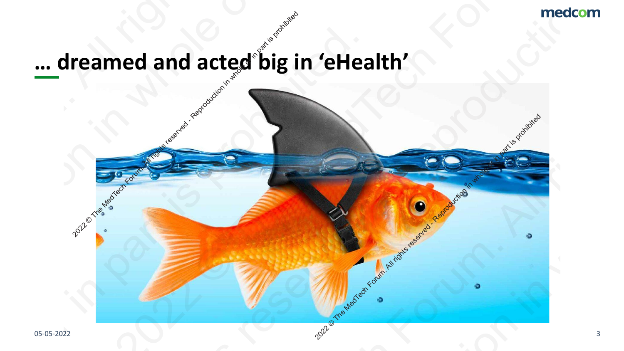2022 Providence of Contraction in Medicine and Reproduction in whole or in part is propriated in particular in

## **… dreamed and acted big in 'eHealth'** Predicted and acted big in the Medicine or in part is proposed and acted big in the served of the served of the served of the served of the served of the served of the served of the served of the served of the served of th med and acted big in 'eHealth'<br>
and acted big in 'eHealth'<br>
and the Media or in part is probably in the Media or in part is probably in the Media or in part is probably in part is probably in the Media or in part is probab 2021 Christian Medicines Christian Christian Christian Christian Christian Christian Christian Christian Christian Christian Christian Christian Christian Christian Christian Christian Christian Christian Christian Christi 2021 Concerned and acted big in 'eHealth'<br>
2022<br>
2022<br>
2022<br>
2022<br>
2022<br>
2022<br>
2022<br>
2022<br>
2022<br>
2022<br>
2022<br>
2022<br>
2022<br>
2022<br>
2022<br>
2022<br>
2022<br>
2023 2021 O The MedIt Rights reserved and acted big in 'eHealth'<br>and the MedIt Rights reserved in the Medition in part is problem. 2021 Concerned and acted big in 'eHealth'<br>
2022<br>
2022<br>
2022<br>
2022<br>
2022<br>
2022<br>
2022<br>
2022<br>
2022<br>
2022<br>
2022<br>
2022<br>
2022<br>
2022<br>
2022<br>
2022<br>
2022<br>
2023 Preamed and acted big in 'eHealth'<br>
and acted big in 'eHealth'<br>
and the Media is probably in part is probably in part is probably in part is probably in part is probably in part is probably in part is probably in part is p 2021 Concerned and acted big in 'eHealth'<br>
2022<br>
2022<br>
2022<br>
2022<br>
2022<br>
2022<br>
2022<br>
2022<br>
2022<br>
2022<br>
2022<br>
2022<br>
2022<br>
2022<br>
2022<br>
2022<br>
2022<br>
2023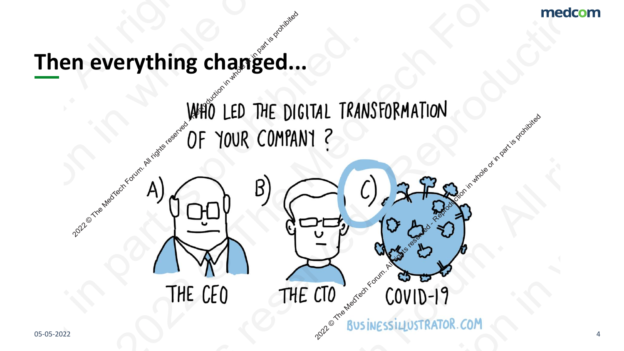## **Then everything changed...**

OF YOUR COMPANY?<br>
THE CEO THE CTO COVID-19 **2022 n** everything changed...<br>
WHO LED THE DI PRODUCTION COMPANY COMPANY COMPANY COMPANY COMPANY COMPANY COMPANY COMPANY COMPANY COMPANY COMPANY COMPANY COMPANY COMPANY COMPANY COMPANY COMPANY COMPANY COMPANY COMPANY COMPANY COMPANY COMPANY COMPANY COMPANY COMPANY COM Then everything changed...<br>
WHO LED THE DIGITAL TRA<br>
OF YOUR COMPANY?<br>
THE CEO THE CTO Then everything changed...<br>WHO LED THE DIGITAL TRANSFORMATION<br>OF YOUR COMPANY?<br>A COMPANY?<br>THE CEO THE CTO COVID-19 Then everything changed...<br>
WHO LED THE DIGITAL TRANSFORMATION<br>
OF YOUR COMPANY?<br>
THE CEO THE CTO COVID-19 Then everything changed...<br>WHO LED THE DIGITAL TRANSFORMATION<br>OF YOUR COMPANY?<br>A COMPANY?<br>THE CEO THE CTO COVID-19 PRODUCTION COMPANY ?<br>
2021 OF YOUR COMPANY ?<br>
2021 OF YOUR COMPANY ?<br>
2022 COMPANY COMPANY COMPANY PRODUCTION COMPANY PRODUCTION COMPANY COMPANY COMPANY COMPANY COMPANY COMPANY COMPANY COMPANY COMPANY COMPANY COMPANY COMPA Then everything changed...<br>WHO LED THE DIGITAL TRANSFORMATION<br>OF YOUR COMPANY?<br>A COMPANY?<br>THE CEO THE CTO COVID-19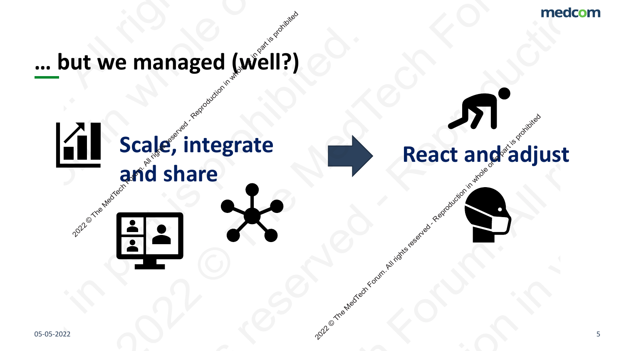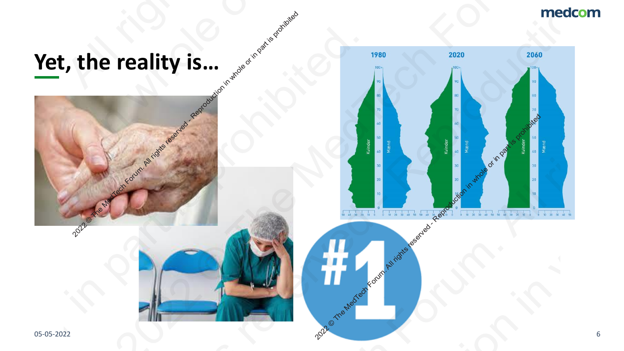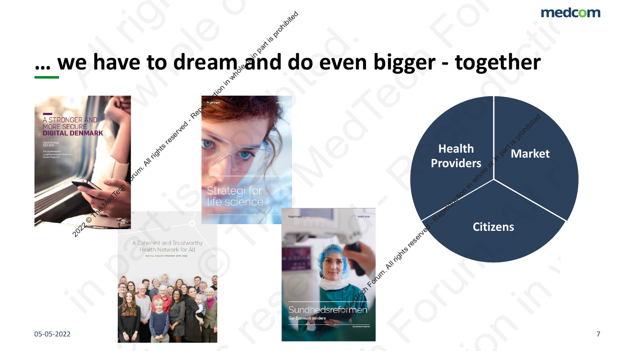## **… we have to dream and do even bigger - together**

![](_page_6_Figure_2.jpeg)